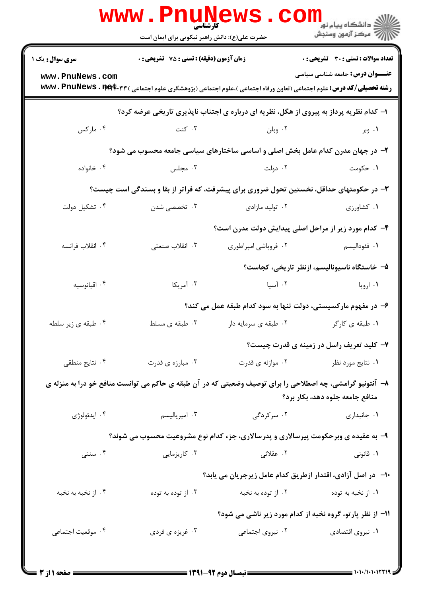|                                                                                                                                                                                                                                | <b>www.PnuNews</b><br><b>کارشناسی</b><br>حضرت علی(ع): دانش راهبر نیکویی برای ایمان است |                      | الاد دانشگاه پيام نور <mark>- -</mark><br>     <br>                                                            |  |  |  |
|--------------------------------------------------------------------------------------------------------------------------------------------------------------------------------------------------------------------------------|----------------------------------------------------------------------------------------|----------------------|----------------------------------------------------------------------------------------------------------------|--|--|--|
| سری سوال: یک ۱<br>www.PnuNews.com                                                                                                                                                                                              | <b>زمان آزمون (دقیقه) : تستی : 75 تشریحی : 0</b>                                       |                      | <b>تعداد سوالات : تستی : 30 ٪ تشریحی : 0</b><br><b>عنــــوان درس:</b> جامعه شناسی سیاسی                        |  |  |  |
| <b>رشته تحصیلی/کد درس:</b> علوم اجتماعی (تعاون ورفاه اجتماعی )،علوم اجتماعی (پژوهشگری علوم اجتماعی ) <b>www . PnuNews . 1194.۳</b> ۳<br>۱- کدام نظریه پرداز به پیروی از هگل، نظریه ای درباره ی اجتناب ناپذیری تاریخی عرضه کرد؟ |                                                                                        |                      |                                                                                                                |  |  |  |
| ۰۴ مارکس                                                                                                                                                                                                                       | ۰۳ کنت                                                                                 | ۰۲ وبلن              | ۰۱ وبر                                                                                                         |  |  |  |
|                                                                                                                                                                                                                                |                                                                                        |                      | ۲- در جهان مدرن کدام عامل بخش اصلی و اساسی ساختارهای سیاسی جامعه محسوب می شود؟                                 |  |  |  |
| ۰۴ خانواده                                                                                                                                                                                                                     | ۰۳ مجلس                                                                                | ۰۲ دولت              | ۰۱ حکومت                                                                                                       |  |  |  |
| ۳- در حکومتهای حداقل، نخستین تحول ضروری برای پیشرفت، که فراتر از بقا و بسندگی است چیست؟                                                                                                                                        |                                                                                        |                      |                                                                                                                |  |  |  |
| ۰۴ تشکیل دولت                                                                                                                                                                                                                  | ۰۳ تخصصی شدن                                                                           | ۰۲ تولید مازادی      | ۰۱ کشاورزی                                                                                                     |  |  |  |
|                                                                                                                                                                                                                                |                                                                                        |                      | ۴- کدام مورد زیر از مراحل اصلی پیدایش دولت مدرن است؟                                                           |  |  |  |
| ۰۴ انقلاب فرانسه                                                                                                                                                                                                               | ۰۳ انقلاب صنعتی                                                                        | ۰۲ فروپاشی امپراطوری | <b>۱</b> . فئوداليسم                                                                                           |  |  |  |
|                                                                                                                                                                                                                                |                                                                                        |                      | ۵– خاستگاه ناسیونالیسم، ازنظر تاریخی، کجاست؟                                                                   |  |  |  |
| ۰۴ اقيانوسيه                                                                                                                                                                                                                   | ۰۳ آمریکا                                                                              |                      | ۰۱ اروپا میسیان است است به سال ۱۰۲ است اورپا می به منابه است است است که است است است که است که است که است که اس |  |  |  |
|                                                                                                                                                                                                                                |                                                                                        |                      | ۶– در مفهوم مارکسیستی، دولت تنها به سود کدام طبقه عمل می کند؟                                                  |  |  |  |
| ۰۴ طبقه ی زیر سلطه                                                                                                                                                                                                             | ۰۳ طبقه ی مسلط                                                                         | ۰۲ طبقه ی سرمایه دار | ۰۱ طبقه ی کارگر                                                                                                |  |  |  |
|                                                                                                                                                                                                                                |                                                                                        |                      | ۷- کلید تعریف راسل در زمینه ی قدرت چیست؟                                                                       |  |  |  |
| ۰۴ نتایج منطقی                                                                                                                                                                                                                 | ۰۳ مبارزه ی قدرت                                                                       | ۰۲ موازنه ی قدرت     | ۰۱ نتايج مورد نظر                                                                                              |  |  |  |
| ۸– آنتونیو گرامشی، چه اصطلاحی را برای توصیف وضعیتی که در آن طبقه ی حاکم می توانست منافع خو درا به منزله ی<br>منافع جامعه جلوه دهد، بكار برد؟                                                                                   |                                                                                        |                      |                                                                                                                |  |  |  |
| ۰۴ ايدئولوژي                                                                                                                                                                                                                   | ۰۳ امپرياليسم                                                                          | ۰۲ سرگردگی           | ٠١. جانبداري                                                                                                   |  |  |  |
| ۹- به عقیده ی وبرحکومت پیرسالاری و پدرسالاری، جزء کدام نوع مشروعیت محسوب می شوند؟                                                                                                                                              |                                                                                        |                      |                                                                                                                |  |  |  |
| ۰۴ سنتی                                                                                                                                                                                                                        | ۰۳ کاریزمایی                                                                           | ۲. عقلائی            | ۰۱ قانونی                                                                                                      |  |  |  |
|                                                                                                                                                                                                                                | ∙ا− در اصل آزادی، اقتدار ازطریق کدام عامل زیرجریان می یابد؟                            |                      |                                                                                                                |  |  |  |
| ۰۴ از نخبه به نخبه                                                                                                                                                                                                             | ۰۳ از توده به توده                                                                     | ۰۲ از توده به نخبه   | ۰۱ از نخبه به توده                                                                                             |  |  |  |
|                                                                                                                                                                                                                                | 11- از نظر پارتو، گروه نخبه از کدام مورد زیر ناشی می شود؟                              |                      |                                                                                                                |  |  |  |
| ۰۴ موقعیت اجتماعی                                                                                                                                                                                                              | ۰۳ غريزه ي فردي                                                                        | ۰۲ نیروی اجتماعی     | ۰۱ نیروی اقتصادی                                                                                               |  |  |  |
|                                                                                                                                                                                                                                |                                                                                        |                      |                                                                                                                |  |  |  |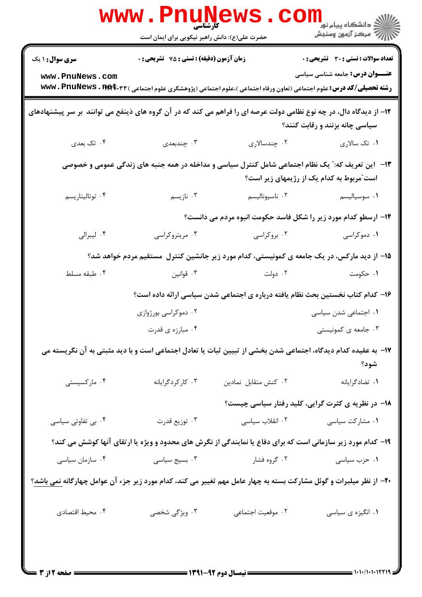|                                                                                                                                                       | www.PnuNews                                   |                      | ر دانشڪاه پيام نور <mark>−</mark><br>ا∛ مرکز آزمون وسنڊش                                                                                                                        |  |  |
|-------------------------------------------------------------------------------------------------------------------------------------------------------|-----------------------------------------------|----------------------|---------------------------------------------------------------------------------------------------------------------------------------------------------------------------------|--|--|
|                                                                                                                                                       | حضرت علی(ع): دانش راهبر نیکویی برای ایمان است |                      |                                                                                                                                                                                 |  |  |
| <b>سری سوال : ۱ یک</b>                                                                                                                                | زمان آزمون (دقیقه) : تستی : 75 گشریحی : 0     |                      | <b>تعداد سوالات : تستی : 30 ٪ تشریحی : 0</b>                                                                                                                                    |  |  |
| www.PnuNews.com                                                                                                                                       |                                               |                      | <b>عنــــوان درس:</b> جامعه شناسی سیاسی<br><b>رشته تحصیلی/کد درس:</b> علوم اجتماعی (تعاون ورفاه اجتماعی )،علوم اجتماعی (پژوهشگری علوم اجتماعی ) <b>www . PnuNews . 1194.۳</b> ۳ |  |  |
| ۱۲– از دیدگاه دال، در چه نوع نظامی دولت عرصه ای را فراهم می کند که در آن گروه های ذینفع می توانند  بر سر پیشنهادهای<br>سیاسی چانه بزنند و رقابت کنند؟ |                                               |                      |                                                                                                                                                                                 |  |  |
| ۰۴ تک بعدی                                                                                                                                            | ۰۳ چندبعدی                                    | ۰۲ چندسالاری         | ۰۱ تک سالاری                                                                                                                                                                    |  |  |
| ۱۳- آین تعریف که:" یک نظام اجتماعی شامل کنترل سیاسی و مداخله در همه جنبه های زندگی عمومی و خصوصی<br>است ّمربوط به کدام یک از رژیمهای زیر است؟         |                                               |                      |                                                                                                                                                                                 |  |  |
| ۰۴ توتاليتاريسم                                                                                                                                       | ۰۳ نازیسم                                     | ۰۲ ناسيوناليسم       | ۰۱ سوسیالیسم                                                                                                                                                                    |  |  |
| ۱۴- ارسطو کدام مورد زیر را شکل فاسد حکومت انبوه مردم می دانست؟                                                                                        |                                               |                      |                                                                                                                                                                                 |  |  |
| ۰۴ ليبرالي                                                                                                                                            | ۰۳ مریتروکراسی                                | ۰۲ بروکراسی          | ۰۱ دموکراسی                                                                                                                                                                     |  |  |
|                                                                                                                                                       |                                               |                      | ۱۵– از دید مارکس، در یک جامعه ی کمونیستی، کدام مورد زیر جانشین کنترل مستقیم مردم خواهد شد؟                                                                                      |  |  |
| ۰۴ طبقه مسلط                                                                                                                                          |                                               | ۲ دولت هوانین (۲     | ۰۱ حکومت                                                                                                                                                                        |  |  |
|                                                                                                                                                       |                                               |                      | ۱۶– کدام کتاب نخستین بحث نظام یافته درباره ی اجتماعی شدن سیاسی ارائه داده است؟                                                                                                  |  |  |
|                                                                                                                                                       | ۰۲ دموکراسی بورژوازی                          |                      | ۰۱ اجتماعی شدن سیاسی                                                                                                                                                            |  |  |
|                                                                                                                                                       | ۰۴ مبارزه ی قدرت                              |                      | ۰۳ جامعه ی کمونیستی                                                                                                                                                             |  |  |
| ۱۷– به عقیده کدام دیدگاه، اجتماعی شدن بخشی از تبیین ثبات یا تعادل اجتماعی است و با دید مثبتی به آن نگریسته می<br>شود؟                                 |                                               |                      |                                                                                                                                                                                 |  |  |
| ۰۴ مارکسیستی                                                                                                                                          | ۰۳ کارکردگرایانه                              | ٠٢ كنش متقابل نمادين | ٠١ تضادكرايانه                                                                                                                                                                  |  |  |
|                                                                                                                                                       |                                               |                      | ۱۸− در نظریه ی کثرت گرایی، کلید رفتار سیاسی چیست؟                                                                                                                               |  |  |
| ۰۴ بی تفاوتی سیاسی                                                                                                                                    | ۰۳ توزیع قدرت                                 | ۰۲ انقلاب سیاسی      | ۰۱ مشارکت سیاسی                                                                                                                                                                 |  |  |
| ۱۹- کدام مورد زیر سازمانی است که برای دفاع یا نمایندگی از نگرش های محدود و ویژه یا ارتقای آنها کوشش می کند؟                                           |                                               |                      |                                                                                                                                                                                 |  |  |
| ۰۴ سازمان سیاسی                                                                                                                                       | ۰۳ بسیج سیاسی                                 | ۰۲ گروه فشار         | ۰۱ حزب سیاسی                                                                                                                                                                    |  |  |
| +۲- از نظر میلبرات و گوئل مشارکت بسته به چهار عامل مهم تغییر می کند، کدام مورد زیر جزء آن عوامل چهارگانه <u>نمی باشد</u> ؟                            |                                               |                      |                                                                                                                                                                                 |  |  |
| ۰۴ محیط اقتصادی                                                                                                                                       | ۰۳ ویژگی شخصی                                 | ٢. موقعيت اجتماعي    | ٠١ انگيزه ي سياسي                                                                                                                                                               |  |  |
|                                                                                                                                                       |                                               |                      |                                                                                                                                                                                 |  |  |